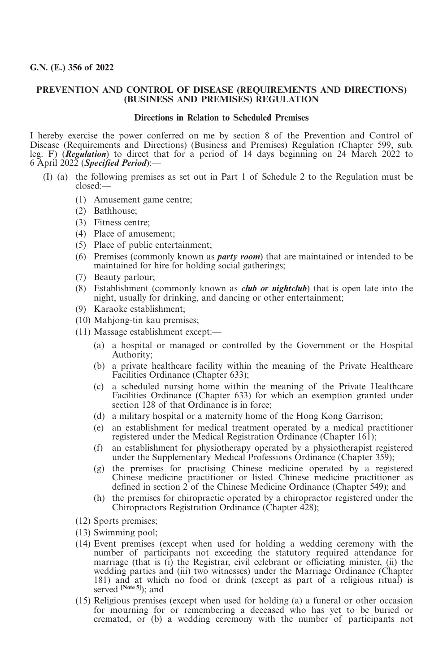## **PREVENTION AND CONTROL OF DISEASE (REQUIREMENTS AND DIRECTIONS) (BUSINESS AND PREMISES) REGULATION**

#### **Directions in Relation to Scheduled Premises**

I hereby exercise the power conferred on me by section 8 of the Prevention and Control of Disease (Requirements and Directions) (Business and Premises) Regulation (Chapter 599, sub. leg. F) (*Regulation*) to direct that for a period of 14 days beginning on 24 March 2022 to 6 April 2022 (*Specified Period*):—

- (I) (a) the following premises as set out in Part 1 of Schedule 2 to the Regulation must be closed:—
	- (1) Amusement game centre;
	- (2) Bathhouse;
	- (3) Fitness centre;
	- (4) Place of amusement;
	- (5) Place of public entertainment;
	- (6) Premises (commonly known as *party room*) that are maintained or intended to be maintained for hire for holding social gatherings;
	- (7) Beauty parlour;
	- (8) Establishment (commonly known as *club or nightclub*) that is open late into the night, usually for drinking, and dancing or other entertainment;
	- (9) Karaoke establishment;
	- (10) Mahjong-tin kau premises;
	- (11) Massage establishment except:—
		- (a) a hospital or managed or controlled by the Government or the Hospital Authority;
		- (b) a private healthcare facility within the meaning of the Private Healthcare Facilities Ordinance (Chapter 633);
		- (c) a scheduled nursing home within the meaning of the Private Healthcare Facilities Ordinance (Chapter 633) for which an exemption granted under section 128 of that Ordinance is in force;
		- (d) a military hospital or a maternity home of the Hong Kong Garrison;
		- (e) an establishment for medical treatment operated by a medical practitioner registered under the Medical Registration Ordinance (Chapter 161);
		- (f) an establishment for physiotherapy operated by a physiotherapist registered under the Supplementary Medical Professions Ordinance (Chapter 359);
		- (g) the premises for practising Chinese medicine operated by a registered Chinese medicine practitioner or listed Chinese medicine practitioner as defined in section 2 of the Chinese Medicine Ordinance (Chapter 549); and
		- (h) the premises for chiropractic operated by a chiropractor registered under the Chiropractors Registration Ordinance (Chapter 428);
	- (12) Sports premises;
	- (13) Swimming pool;
	- (14) Event premises (except when used for holding a wedding ceremony with the number of participants not exceeding the statutory required attendance for marriage (that is (i) the Registrar, civil celebrant or officiating minister, (ii) the wedding parties and (iii) two witnesses) under the Marriage Ordinance (Chapter 181) and at which no food or drink (except as part of a religious ritual) is served **[Note 5]**); and
	- (15) Religious premises (except when used for holding (a) a funeral or other occasion for mourning for or remembering a deceased who has yet to be buried or cremated, or (b) a wedding ceremony with the number of participants not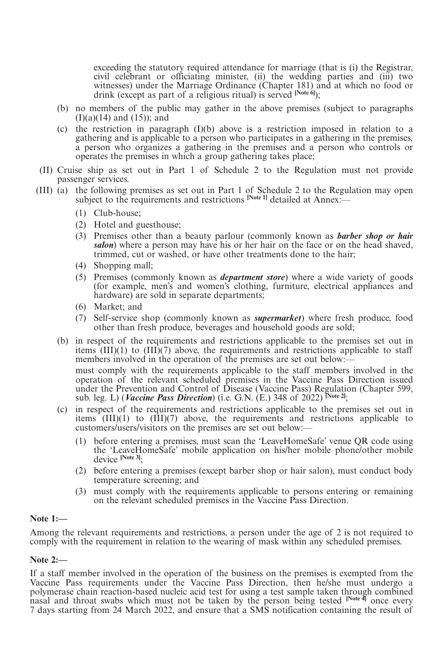exceeding the statutory required attendance for marriage (that is (i) the Registrar, civil celebrant or officiating minister, (ii) the wedding parties and (iii) two witnesses) under the Marriage Ordinance (Chapter 181) and at which no food or drink (except as part of a religious ritual) is served **[Note 6]**);

- (b) no members of the public may gather in the above premises (subject to paragraphs  $(I)(a)(14)$  and  $(15)$ ; and
- (c) the restriction in paragraph (I)(b) above is a restriction imposed in relation to a gathering and is applicable to a person who participates in a gathering in the premises, a person who organizes a gathering in the premises and a person who controls or operates the premises in which a group gathering takes place;
- (II) Cruise ship as set out in Part 1 of Schedule 2 to the Regulation must not provide passenger services.
- (III) (a) the following premises as set out in Part 1 of Schedule 2 to the Regulation may open subject to the requirements and restrictions  $\text{[Note 1]}$  detailed at Annex:—
	- (1) Club-house;
	- (2) Hotel and guesthouse;
	- (3) Premises other than a beauty parlour (commonly known as *barber shop or hair salon*) where a person may have his or her hair on the face or on the head shaved, trimmed, cut or washed, or have other treatments done to the hair;
	- (4) Shopping mall;
	- (5) Premises (commonly known as *department store*) where a wide variety of goods (for example, men's and women's clothing, furniture, electrical appliances and hardware) are sold in separate departments;
	- (6) Market; and
	- (7) Self-service shop (commonly known as *supermarket*) where fresh produce, food other than fresh produce, beverages and household goods are sold;
	- (b) in respect of the requirements and restrictions applicable to the premises set out in items  $(III)(1)$  to  $(III)(7)$  above, the requirements and restrictions applicable to staff members involved in the operation of the premises are set out below. must comply with the requirements applicable to the staff members involved in the operation of the relevant scheduled premises in the Vaccine Pass Direction issued

under the Prevention and Control of Disease (Vaccine Pass) Regulation (Chapter 599, sub. leg. L) (*Vaccine Pass Direction*) (i.e. G.N. (E.) 348 of 2022) **[Note 2]** ;

- (c) in respect of the requirements and restrictions applicable to the premises set out in items  $(III)(1)$  to  $(III)(7)$  above, the requirements and restrictions applicable to customers/users/visitors on the premises are set out below:—
	- (1) before entering a premises, must scan the 'LeaveHomeSafe' venue QR code using the 'LeaveHomeSafe' mobile application on his/her mobile phone/other mobile device **[Note 3]**;
	- (2) before entering a premises (except barber shop or hair salon), must conduct body temperature screening; and
	- (3) must comply with the requirements applicable to persons entering or remaining on the relevant scheduled premises in the Vaccine Pass Direction.

# **Note 1:—**

Among the relevant requirements and restrictions, a person under the age of 2 is not required to comply with the requirement in relation to the wearing of mask within any scheduled premises.

# **Note 2:—**

If a staff member involved in the operation of the business on the premises is exempted from the Vaccine Pass requirements under the Vaccine Pass Direction, then he/she must undergo a polymerase chain reaction-based nucleic acid test for using a test sample taken through combined nasal and throat swabs which must not be taken by the person being tested **[Note 4]** once every 7 days starting from 24 March 2022, and ensure that a SMS notification containing the result of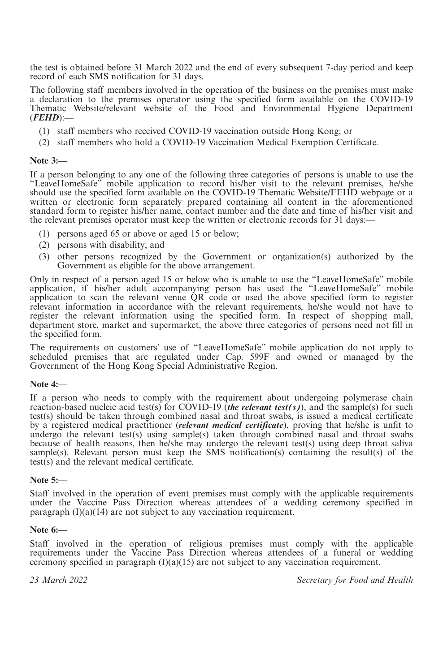the test is obtained before 31 March 2022 and the end of every subsequent 7-day period and keep record of each SMS notification for 31 days.

The following staff members involved in the operation of the business on the premises must make a declaration to the premises operator using the specified form available on the COVID-19 Thematic Website/relevant website of the Food and Environmental Hygiene Department (*FEHD*):—

- (1) staff members who received COVID-19 vaccination outside Hong Kong; or
- (2) staff members who hold a COVID-19 Vaccination Medical Exemption Certificate.

### **Note 3:—**

If a person belonging to any one of the following three categories of persons is unable to use the "LeaveHomeSafe" mobile application to record his/her visit to the relevant premises, he/she should use the specified form available on the COVID-19 Thematic Website/FEHD webpage or a written or electronic form separately prepared containing all content in the aforementioned standard form to register his/her name, contact number and the date and time of his/her visit and the relevant premises operator must keep the written or electronic records for 31 days:—

- (1) persons aged 65 or above or aged 15 or below;
- (2) persons with disability; and
- (3) other persons recognized by the Government or organization(s) authorized by the Government as eligible for the above arrangement.

Only in respect of a person aged 15 or below who is unable to use the "LeaveHomeSafe" mobile application, if his/her adult accompanying person has used the "LeaveHomeSafe" mobile application to scan the relevant venue QR code or used the above specified form to register relevant information in accordance with the relevant requirements, he/she would not have to register the relevant information using the specified form. In respect of shopping mall, department store, market and supermarket, the above three categories of persons need not fill in the specified form.

The requirements on customers' use of "LeaveHomeSafe" mobile application do not apply to scheduled premises that are regulated under Cap. 599F and owned or managed by the Government of the Hong Kong Special Administrative Region.

# **Note 4:—**

If a person who needs to comply with the requirement about undergoing polymerase chain reaction-based nucleic acid test(s) for COVID-19 (*the relevant test(s)*), and the sample(s) for such test(s) should be taken through combined nasal and throat swabs, is issued a medical certificate by a registered medical practitioner (*relevant medical certificate*), proving that he/she is unfit to undergo the relevant test(s) using sample(s) taken through combined nasal and throat swabs because of health reasons, then he/she may undergo the relevant test(s) using deep throat saliva sample(s). Relevant person must keep the SMS notification(s) containing the result(s) of the test(s) and the relevant medical certificate.

### **Note 5:—**

Staff involved in the operation of event premises must comply with the applicable requirements under the Vaccine Pass Direction whereas attendees of a wedding ceremony specified in paragraph  $(I)(a)(14)$  are not subject to any vaccination requirement.

#### **Note 6:—**

Staff involved in the operation of religious premises must comply with the applicable requirements under the Vaccine Pass Direction whereas attendees of a funeral or wedding ceremony specified in paragraph  $(I)(a)(15)$  are not subject to any vaccination requirement.

*23 March 2022 Secretary for Food and Health*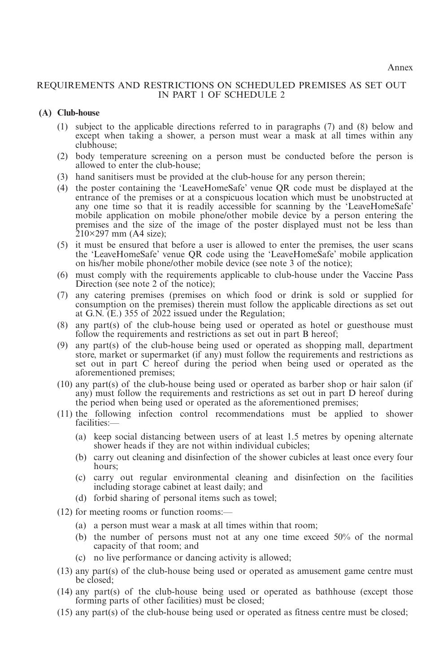### REQUIREMENTS AND RESTRICTIONS ON SCHEDULED PREMISES AS SET OUT IN PART 1 OF SCHEDULE 2

# **(A) Club-house**

- (1) subject to the applicable directions referred to in paragraphs (7) and (8) below and except when taking a shower, a person must wear a mask at all times within any clubhouse;
- (2) body temperature screening on a person must be conducted before the person is allowed to enter the club-house;
- (3) hand sanitisers must be provided at the club-house for any person therein;
- (4) the poster containing the 'LeaveHomeSafe' venue QR code must be displayed at the entrance of the premises or at a conspicuous location which must be unobstructed at any one time so that it is readily accessible for scanning by the 'LeaveHomeSafe' mobile application on mobile phone/other mobile device by a person entering the premises and the size of the image of the poster displayed must not be less than 210×297 mm (A4 size);
- (5) it must be ensured that before a user is allowed to enter the premises, the user scans the 'LeaveHomeSafe' venue QR code using the 'LeaveHomeSafe' mobile application on his/her mobile phone/other mobile device (see note 3 of the notice);
- (6) must comply with the requirements applicable to club-house under the Vaccine Pass Direction (see note 2 of the notice);
- (7) any catering premises (premises on which food or drink is sold or supplied for consumption on the premises) therein must follow the applicable directions as set out at G.N.  $(E)$  355 of 2022 issued under the Regulation;
- (8) any part(s) of the club-house being used or operated as hotel or guesthouse must follow the requirements and restrictions as set out in part B hereof;
- (9) any part(s) of the club-house being used or operated as shopping mall, department store, market or supermarket (if any) must follow the requirements and restrictions as set out in part C hereof during the period when being used or operated as the aforementioned premises;
- (10) any part(s) of the club-house being used or operated as barber shop or hair salon (if any) must follow the requirements and restrictions as set out in part D hereof during the period when being used or operated as the aforementioned premises;
- (11) the following infection control recommendations must be applied to shower facilities:—
	- (a) keep social distancing between users of at least 1.5 metres by opening alternate shower heads if they are not within individual cubicles;
	- (b) carry out cleaning and disinfection of the shower cubicles at least once every four hours;
	- (c) carry out regular environmental cleaning and disinfection on the facilities including storage cabinet at least daily; and
	- (d) forbid sharing of personal items such as towel;
- (12) for meeting rooms or function rooms:—
	- (a) a person must wear a mask at all times within that room;
	- (b) the number of persons must not at any one time exceed 50% of the normal capacity of that room; and
	- (c) no live performance or dancing activity is allowed;
- (13) any part(s) of the club-house being used or operated as amusement game centre must be closed;
- (14) any part(s) of the club-house being used or operated as bathhouse (except those forming parts of other facilities) must be closed;
- (15) any part(s) of the club-house being used or operated as fitness centre must be closed;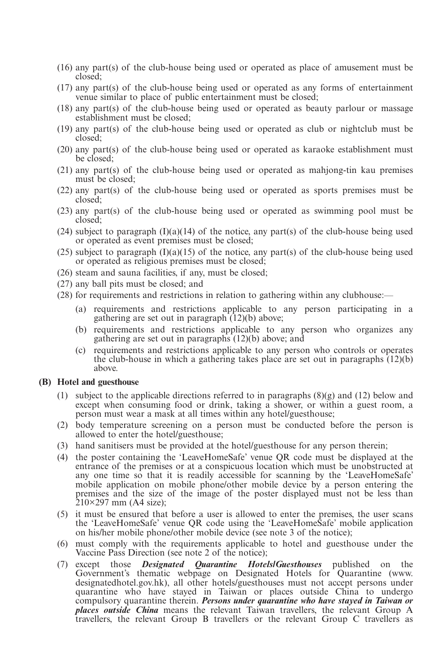- (16) any part(s) of the club-house being used or operated as place of amusement must be closed;
- (17) any part(s) of the club-house being used or operated as any forms of entertainment venue similar to place of public entertainment must be closed;
- (18) any part(s) of the club-house being used or operated as beauty parlour or massage establishment must be closed;
- (19) any part(s) of the club-house being used or operated as club or nightclub must be closed;
- (20) any part(s) of the club-house being used or operated as karaoke establishment must be closed;
- (21) any part(s) of the club-house being used or operated as mahjong-tin kau premises must be closed:
- (22) any part(s) of the club-house being used or operated as sports premises must be closed;
- (23) any part(s) of the club-house being used or operated as swimming pool must be closed;
- (24) subject to paragraph  $(I)(a)(14)$  of the notice, any part(s) of the club-house being used or operated as event premises must be closed;
- (25) subject to paragraph  $(I)(a)(15)$  of the notice, any part(s) of the club-house being used or operated as religious premises must be closed;
- (26) steam and sauna facilities, if any, must be closed;
- (27) any ball pits must be closed; and
- (28) for requirements and restrictions in relation to gathering within any clubhouse:—
	- (a) requirements and restrictions applicable to any person participating in a gathering are set out in paragraph  $(12)(b)$  above;
	- (b) requirements and restrictions applicable to any person who organizes any gathering are set out in paragraphs (12)(b) above; and
	- (c) requirements and restrictions applicable to any person who controls or operates the club-house in which a gathering takes place are set out in paragraphs  $(12)(b)$ above.

### **(B) Hotel and guesthouse**

- (1) subject to the applicable directions referred to in paragraphs  $(8)(g)$  and  $(12)$  below and except when consuming food or drink, taking a shower, or within a guest room, a person must wear a mask at all times within any hotel/guesthouse;
- (2) body temperature screening on a person must be conducted before the person is allowed to enter the hotel/guesthouse;
- (3) hand sanitisers must be provided at the hotel/guesthouse for any person therein;
- (4) the poster containing the 'LeaveHomeSafe' venue QR code must be displayed at the entrance of the premises or at a conspicuous location which must be unobstructed at any one time so that it is readily accessible for scanning by the 'LeaveHomeSafe' mobile application on mobile phone/other mobile device by a person entering the premises and the size of the image of the poster displayed must not be less than 210×297 mm (A4 size);
- (5) it must be ensured that before a user is allowed to enter the premises, the user scans the 'LeaveHomeSafe' venue QR code using the 'LeaveHomeSafe' mobile application on his/her mobile phone/other mobile device (see note 3 of the notice);
- (6) must comply with the requirements applicable to hotel and guesthouse under the Vaccine Pass Direction (see note 2 of the notice);
- (7) except those *Designated Quarantine Hotels/Guesthouses* published on the Government's thematic webpage on Designated Hotels for Quarantine (www. designatedhotel.gov.hk), all other hotels/guesthouses must not accept persons under quarantine who have stayed in Taiwan or places outside China to undergo compulsory quarantine therein. *Persons under quarantine who have stayed in Taiwan or places outside China* means the relevant Taiwan travellers, the relevant Group A travellers, the relevant Group B travellers or the relevant Group C travellers as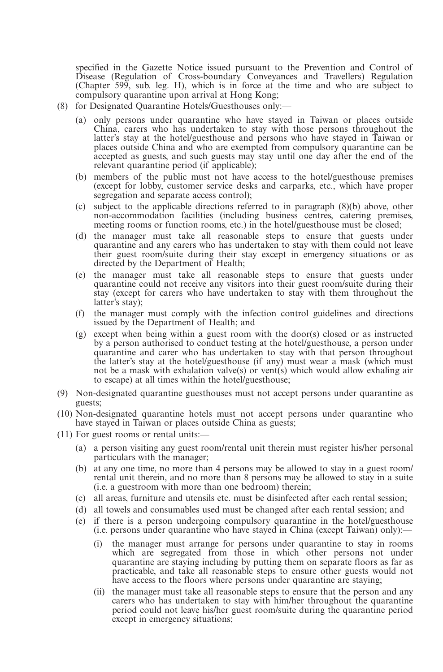specified in the Gazette Notice issued pursuant to the Prevention and Control of Disease (Regulation of Cross-boundary Conveyances and Travellers) Regulation (Chapter 599, sub. leg. H), which is in force at the time and who are subject to compulsory quarantine upon arrival at Hong Kong;

- (8) for Designated Quarantine Hotels/Guesthouses only:—
	- (a) only persons under quarantine who have stayed in Taiwan or places outside China, carers who has undertaken to stay with those persons throughout the latter's stay at the hotel/guesthouse and persons who have stayed in Taiwan or places outside China and who are exempted from compulsory quarantine can be accepted as guests, and such guests may stay until one day after the end of the relevant quarantine period (if applicable);
	- (b) members of the public must not have access to the hotel/guesthouse premises (except for lobby, customer service desks and carparks, etc., which have proper segregation and separate access control);
	- (c) subject to the applicable directions referred to in paragraph (8)(b) above, other non-accommodation facilities (including business centres, catering premises, meeting rooms or function rooms, etc.) in the hotel/guesthouse must be closed;
	- (d) the manager must take all reasonable steps to ensure that guests under quarantine and any carers who has undertaken to stay with them could not leave their guest room/suite during their stay except in emergency situations or as directed by the Department of Health;
	- (e) the manager must take all reasonable steps to ensure that guests under quarantine could not receive any visitors into their guest room/suite during their stay (except for carers who have undertaken to stay with them throughout the latter's stay);
	- (f) the manager must comply with the infection control guidelines and directions issued by the Department of Health; and
	- (g) except when being within a guest room with the door(s) closed or as instructed by a person authorised to conduct testing at the hotel/guesthouse, a person under quarantine and carer who has undertaken to stay with that person throughout the latter's stay at the hotel/guesthouse (if any) must wear a mask (which must not be a mask with exhalation valve(s) or vent(s) which would allow exhaling air to escape) at all times within the hotel/guesthouse;
- (9) Non-designated quarantine guesthouses must not accept persons under quarantine as guests;
- (10) Non-designated quarantine hotels must not accept persons under quarantine who have stayed in Taiwan or places outside China as guests;
- (11) For guest rooms or rental units:—
	- (a) a person visiting any guest room/rental unit therein must register his/her personal particulars with the manager;
	- (b) at any one time, no more than 4 persons may be allowed to stay in a guest room/ rental unit therein, and no more than 8 persons may be allowed to stay in a suite (i.e. a guestroom with more than one bedroom) therein;
	- (c) all areas, furniture and utensils etc. must be disinfected after each rental session;
	- (d) all towels and consumables used must be changed after each rental session; and
	- (e) if there is a person undergoing compulsory quarantine in the hotel/guesthouse (i.e. persons under quarantine who have stayed in China (except Taiwan) only):—
		- (i) the manager must arrange for persons under quarantine to stay in rooms which are segregated from those in which other persons not under quarantine are staying including by putting them on separate floors as far as practicable, and take all reasonable steps to ensure other guests would not have access to the floors where persons under quarantine are staying;
		- (ii) the manager must take all reasonable steps to ensure that the person and any carers who has undertaken to stay with him/her throughout the quarantine period could not leave his/her guest room/suite during the quarantine period except in emergency situations;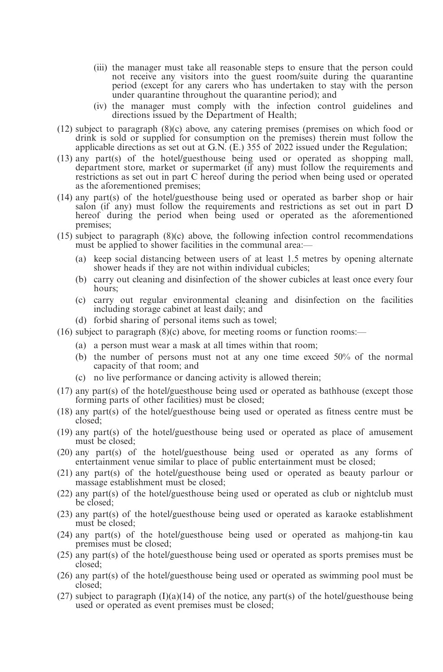- (iii) the manager must take all reasonable steps to ensure that the person could not receive any visitors into the guest room/suite during the quarantine period (except for any carers who has undertaken to stay with the person under quarantine throughout the quarantine period); and
- (iv) the manager must comply with the infection control guidelines and directions issued by the Department of Health;
- (12) subject to paragraph (8)(c) above, any catering premises (premises on which food or drink is sold or supplied for consumption on the premises) therein must follow the applicable directions as set out at G.N. (E.) 355 of 2022 issued under the Regulation;
- (13) any part(s) of the hotel/guesthouse being used or operated as shopping mall, department store, market or supermarket (if any) must follow the requirements and restrictions as set out in part C hereof during the period when being used or operated as the aforementioned premises;
- (14) any part(s) of the hotel/guesthouse being used or operated as barber shop or hair salon (if any) must follow the requirements and restrictions as set out in part D hereof during the period when being used or operated as the aforementioned premises;
- (15) subject to paragraph (8)(c) above, the following infection control recommendations must be applied to shower facilities in the communal area:—
	- (a) keep social distancing between users of at least 1.5 metres by opening alternate shower heads if they are not within individual cubicles;
	- (b) carry out cleaning and disinfection of the shower cubicles at least once every four hours;
	- (c) carry out regular environmental cleaning and disinfection on the facilities including storage cabinet at least daily; and
	- (d) forbid sharing of personal items such as towel;
- (16) subject to paragraph  $(8)(c)$  above, for meeting rooms or function rooms:—
	- (a) a person must wear a mask at all times within that room;
	- (b) the number of persons must not at any one time exceed 50% of the normal capacity of that room; and
	- (c) no live performance or dancing activity is allowed therein;
- (17) any part(s) of the hotel/guesthouse being used or operated as bathhouse (except those forming parts of other facilities) must be closed;
- (18) any part(s) of the hotel/guesthouse being used or operated as fitness centre must be closed;
- (19) any part(s) of the hotel/guesthouse being used or operated as place of amusement must be closed;
- (20) any part(s) of the hotel/guesthouse being used or operated as any forms of entertainment venue similar to place of public entertainment must be closed;
- (21) any part(s) of the hotel/guesthouse being used or operated as beauty parlour or massage establishment must be closed;
- (22) any part(s) of the hotel/guesthouse being used or operated as club or nightclub must be closed;
- (23) any part(s) of the hotel/guesthouse being used or operated as karaoke establishment must be closed;
- (24) any part(s) of the hotel/guesthouse being used or operated as mahjong-tin kau premises must be closed;
- (25) any part(s) of the hotel/guesthouse being used or operated as sports premises must be closed;
- (26) any part(s) of the hotel/guesthouse being used or operated as swimming pool must be closed;
- (27) subject to paragraph  $(I)(a)(14)$  of the notice, any part(s) of the hotel/guesthouse being used or operated as event premises must be closed;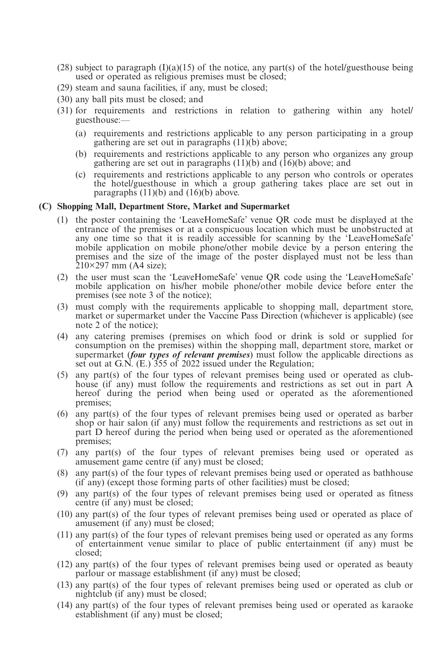- $(28)$  subject to paragraph  $(1)(a)(15)$  of the notice, any part(s) of the hotel/guesthouse being used or operated as religious premises must be closed;
- (29) steam and sauna facilities, if any, must be closed;
- (30) any ball pits must be closed; and
- (31) for requirements and restrictions in relation to gathering within any hotel/ guesthouse:—
	- (a) requirements and restrictions applicable to any person participating in a group gathering are set out in paragraphs (11)(b) above;
	- (b) requirements and restrictions applicable to any person who organizes any group gathering are set out in paragraphs  $(11)(b)$  and  $(16)(b)$  above; and
	- (c) requirements and restrictions applicable to any person who controls or operates the hotel/guesthouse in which a group gathering takes place are set out in paragraphs  $(11)(b)$  and  $(16)(b)$  above.

### **(C) Shopping Mall, Department Store, Market and Supermarket**

- (1) the poster containing the 'LeaveHomeSafe' venue QR code must be displayed at the entrance of the premises or at a conspicuous location which must be unobstructed at any one time so that it is readily accessible for scanning by the 'LeaveHomeSafe' mobile application on mobile phone/other mobile device by a person entering the premises and the size of the image of the poster displayed must not be less than  $210\times297$  mm (A4 size);
- (2) the user must scan the 'LeaveHomeSafe' venue QR code using the 'LeaveHomeSafe' mobile application on his/her mobile phone/other mobile device before enter the premises (see note 3 of the notice);
- (3) must comply with the requirements applicable to shopping mall, department store, market or supermarket under the Vaccine Pass Direction (whichever is applicable) (see note 2 of the notice);
- (4) any catering premises (premises on which food or drink is sold or supplied for consumption on the premises) within the shopping mall, department store, market or supermarket (*four types of relevant premises*) must follow the applicable directions as set out at G.N. (E.) 355 of 2022 issued under the Regulation;
- (5) any part(s) of the four types of relevant premises being used or operated as clubhouse (if any) must follow the requirements and restrictions as set out in part A hereof during the period when being used or operated as the aforementioned premises;
- (6) any part(s) of the four types of relevant premises being used or operated as barber shop or hair salon (if any) must follow the requirements and restrictions as set out in part D hereof during the period when being used or operated as the aforementioned premises;
- (7) any part(s) of the four types of relevant premises being used or operated as amusement game centre (if any) must be closed;
- (8) any part(s) of the four types of relevant premises being used or operated as bathhouse (if any) (except those forming parts of other facilities) must be closed;
- (9) any part(s) of the four types of relevant premises being used or operated as fitness centre (if any) must be closed;
- (10) any part(s) of the four types of relevant premises being used or operated as place of amusement (if any) must be closed;
- (11) any part(s) of the four types of relevant premises being used or operated as any forms of entertainment venue similar to place of public entertainment (if any) must be closed;
- (12) any part(s) of the four types of relevant premises being used or operated as beauty parlour or massage establishment (if any) must be closed;
- (13) any part(s) of the four types of relevant premises being used or operated as club or nightclub (if any) must be closed;
- (14) any part(s) of the four types of relevant premises being used or operated as karaoke establishment (if any) must be closed;